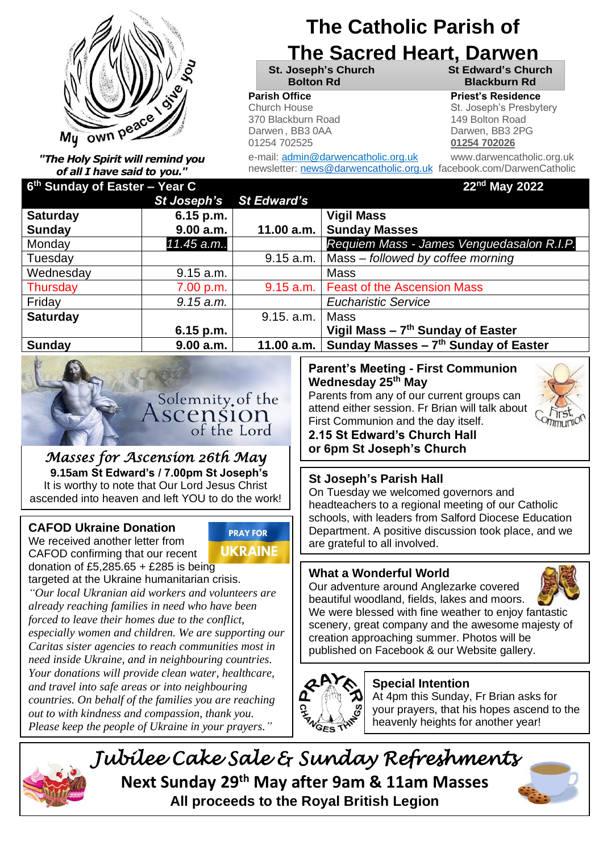

*"The Holy Spirit will remind you of all I have said to you."*

## **The Catholic Parish of**

## **The Sacred Heart, Darwen**

**St. Joseph's Church St Edward's Church Bolton Rd Blackburn Rd**

#### **Parish Office Priest's Residence**

Church House **Realist Friest Contact St. Joseph's Presbytery** 370 Blackburn Road 149 Bolton Road Darwen , BB3 0AA Darwen, BB3 2PG 01254 702525 **01254 702026**

e-mail: admin@darwencatholic.org.uk www.darwencatholic.org.uk newsletter: [news@darwencatholic.org.uk](mailto:news@darwencatholic.org.uk) facebook.com/DarwenCatholic

| 6 <sup>th</sup> Sunday of Easter - Year C |             |                    | 22nd May 2022                                     |
|-------------------------------------------|-------------|--------------------|---------------------------------------------------|
|                                           | St Joseph's | <b>St Edward's</b> |                                                   |
| <b>Saturday</b>                           | $6.15$ p.m. |                    | <b>Vigil Mass</b>                                 |
| Sunday                                    | 9.00 a.m.   | 11.00 a.m.         | <b>Sunday Masses</b>                              |
| Monday                                    | 11.45 a.m   |                    | Requiem Mass - James Venguedasalon R.I.P.         |
| Tuesday                                   |             | 9.15 a.m.          | Mass - followed by coffee morning                 |
| Wednesday                                 | 9.15 a.m.   |                    | <b>Mass</b>                                       |
| Thursday                                  | 7.00 p.m.   | 9.15 a.m.          | <b>Feast of the Ascension Mass</b>                |
| Friday                                    | 9.15 a.m.   |                    | <b>Eucharistic Service</b>                        |
| <b>Saturday</b>                           |             | 9.15. a.m.         | <b>Mass</b>                                       |
|                                           | $6.15$ p.m. |                    | Vigil Mass $-7$ <sup>th</sup> Sunday of Easter    |
| <b>Sunday</b>                             | 9.00 a.m.   | 11.00 $a.m.$       | Sunday Masses $-7$ <sup>th</sup> Sunday of Easter |
|                                           |             |                    |                                                   |



#### *Masses for Ascension 26th May*  **9.15am St Edward's / 7.00pm St Joseph's** It is worthy to note that Our Lord Jesus Christ ascended into heaven and left YOU to do the work!

#### **CAFOD Ukraine Donation**

We received another letter from CAFOD confirming that our recent donation of £5,285.65 + £285 is being



targeted at the Ukraine humanitarian crisis.

*"Our local Ukranian aid workers and volunteers are already reaching families in need who have been forced to leave their homes due to the conflict, especially women and children. We are supporting our Caritas sister agencies to reach communities most in need inside Ukraine, and in neighbouring countries. Your donations will provide clean water, healthcare, and travel into safe areas or into neighbouring countries. On behalf of the families you are reaching out to with kindness and compassion, thank you. Please keep the people of Ukraine in your prayers."*

#### **Parent's Meeting - First Communion Wednesday 25th May**

Parents from any of our current groups can attend either session. Fr Brian will talk about First Communion and the day itself.



**2.15 St Edward's Church Hall or 6pm St Joseph's Church**

#### **St Joseph's Parish Hall**

On Tuesday we welcomed governors and headteachers to a regional meeting of our Catholic schools, with leaders from Salford Diocese Education Department. A positive discussion took place, and we are grateful to all involved.

#### **What a Wonderful World**

Our adventure around Anglezarke covered beautiful woodland, fields, lakes and moors.



We were blessed with fine weather to enjoy fantastic scenery, great company and the awesome majesty of creation approaching summer. Photos will be published on Facebook & our Website gallery.

# **CHANGES TWI**

#### **Special Intention**

At 4pm this Sunday, Fr Brian asks for your prayers, that his hopes ascend to the heavenly heights for another year!



*Jubilee Cake Sale & Sunday Refreshments*  **Next Sunday 29th May after 9am & 11am Masses All proceeds to the Royal British Legion**